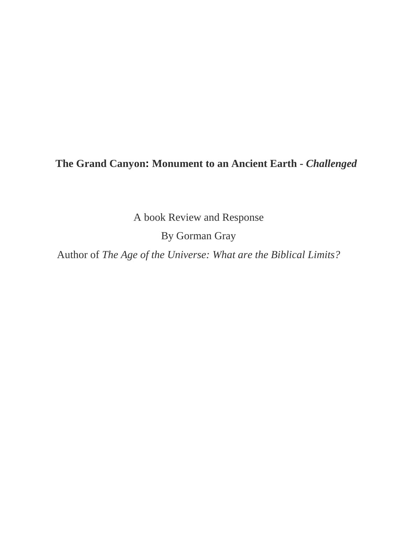## **The Grand Canyon: Monument to an Ancient Earth -** *Challenged*

A book Review and Response

By Gorman Gray

Author of *The Age of the Universe: What are the Biblical Limits?*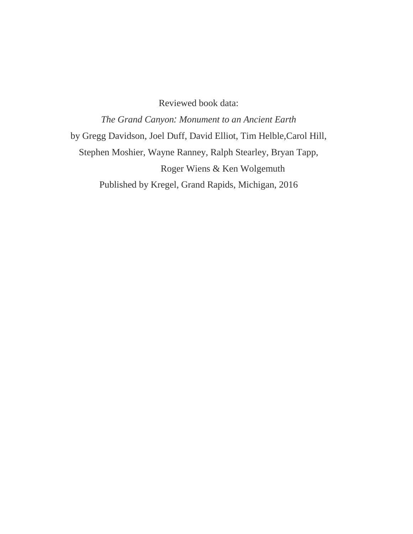Reviewed book data:

*The Grand Canyon: Monument to an Ancient Earth* by Gregg Davidson, Joel Duff, David Elliot, Tim Helble,Carol Hill, Stephen Moshier, Wayne Ranney, Ralph Stearley, Bryan Tapp, Roger Wiens & Ken Wolgemuth Published by Kregel, Grand Rapids, Michigan, 2016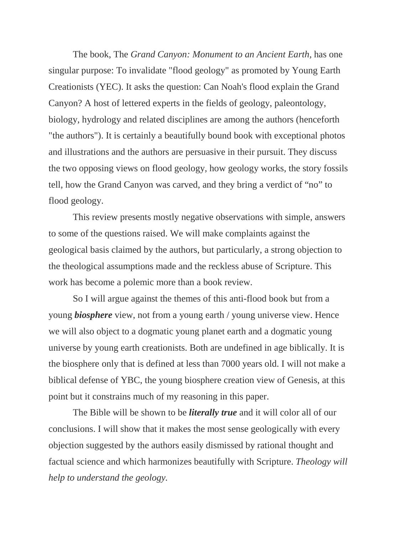The book, The *Grand Canyon: Monument to an Ancient Earth,* has one singular purpose: To invalidate "flood geology" as promoted by Young Earth Creationists (YEC). It asks the question: Can Noah's flood explain the Grand Canyon? A host of lettered experts in the fields of geology, paleontology, biology, hydrology and related disciplines are among the authors (henceforth "the authors"). It is certainly a beautifully bound book with exceptional photos and illustrations and the authors are persuasive in their pursuit. They discuss the two opposing views on flood geology, how geology works, the story fossils tell, how the Grand Canyon was carved, and they bring a verdict of "no" to flood geology.

This review presents mostly negative observations with simple, answers to some of the questions raised. We will make complaints against the geological basis claimed by the authors, but particularly, a strong objection to the theological assumptions made and the reckless abuse of Scripture. This work has become a polemic more than a book review.

So I will argue against the themes of this anti-flood book but from a young *biosphere* view, not from a young earth / young universe view. Hence we will also object to a dogmatic young planet earth and a dogmatic young universe by young earth creationists. Both are undefined in age biblically. It is the biosphere only that is defined at less than 7000 years old. I will not make a biblical defense of YBC, the young biosphere creation view of Genesis, at this point but it constrains much of my reasoning in this paper.

The Bible will be shown to be *literally true* and it will color all of our conclusions. I will show that it makes the most sense geologically with every objection suggested by the authors easily dismissed by rational thought and factual science and which harmonizes beautifully with Scripture. *Theology will help to understand the geology.*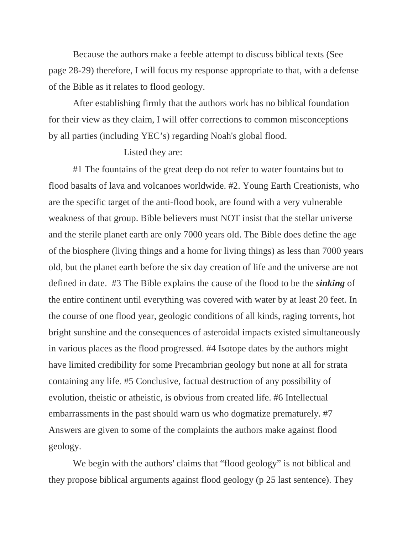Because the authors make a feeble attempt to discuss biblical texts (See page 28-29) therefore, I will focus my response appropriate to that, with a defense of the Bible as it relates to flood geology.

After establishing firmly that the authors work has no biblical foundation for their view as they claim, I will offer corrections to common misconceptions by all parties (including YEC's) regarding Noah's global flood.

## Listed they are:

#1 The fountains of the great deep do not refer to water fountains but to flood basalts of lava and volcanoes worldwide. #2. Young Earth Creationists, who are the specific target of the anti-flood book, are found with a very vulnerable weakness of that group. Bible believers must NOT insist that the stellar universe and the sterile planet earth are only 7000 years old. The Bible does define the age of the biosphere (living things and a home for living things) as less than 7000 years old, but the planet earth before the six day creation of life and the universe are not defined in date. #3 The Bible explains the cause of the flood to be the *sinking* of the entire continent until everything was covered with water by at least 20 feet. In the course of one flood year, geologic conditions of all kinds, raging torrents, hot bright sunshine and the consequences of asteroidal impacts existed simultaneously in various places as the flood progressed. #4 Isotope dates by the authors might have limited credibility for some Precambrian geology but none at all for strata containing any life. #5 Conclusive, factual destruction of any possibility of evolution, theistic or atheistic, is obvious from created life. #6 Intellectual embarrassments in the past should warn us who dogmatize prematurely. #7 Answers are given to some of the complaints the authors make against flood geology.

We begin with the authors' claims that "flood geology" is not biblical and they propose biblical arguments against flood geology (p 25 last sentence). They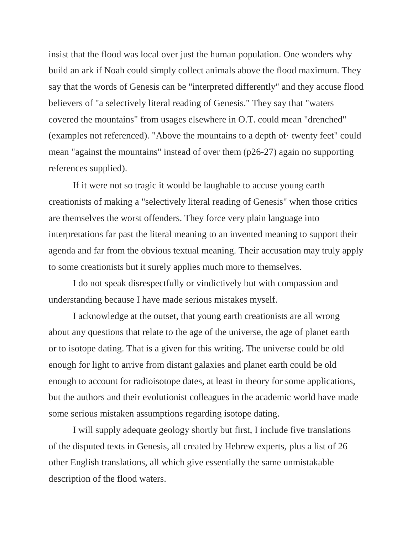insist that the flood was local over just the human population. One wonders why build an ark if Noah could simply collect animals above the flood maximum. They say that the words of Genesis can be "interpreted differently" and they accuse flood believers of "a selectively literal reading of Genesis." They say that "waters covered the mountains" from usages elsewhere in O.T. could mean "drenched" (examples not referenced). "Above the mountains to a depth of· twenty feet" could mean "against the mountains" instead of over them (p26-27) again no supporting references supplied).

If it were not so tragic it would be laughable to accuse young earth creationists of making a "selectively literal reading of Genesis" when those critics are themselves the worst offenders. They force very plain language into interpretations far past the literal meaning to an invented meaning to support their agenda and far from the obvious textual meaning. Their accusation may truly apply to some creationists but it surely applies much more to themselves.

I do not speak disrespectfully or vindictively but with compassion and understanding because I have made serious mistakes myself.

I acknowledge at the outset, that young earth creationists are all wrong about any questions that relate to the age of the universe, the age of planet earth or to isotope dating. That is a given for this writing. The universe could be old enough for light to arrive from distant galaxies and planet earth could be old enough to account for radioisotope dates, at least in theory for some applications, but the authors and their evolutionist colleagues in the academic world have made some serious mistaken assumptions regarding isotope dating.

I will supply adequate geology shortly but first, I include five translations of the disputed texts in Genesis, all created by Hebrew experts, plus a list of 26 other English translations, all which give essentially the same unmistakable description of the flood waters.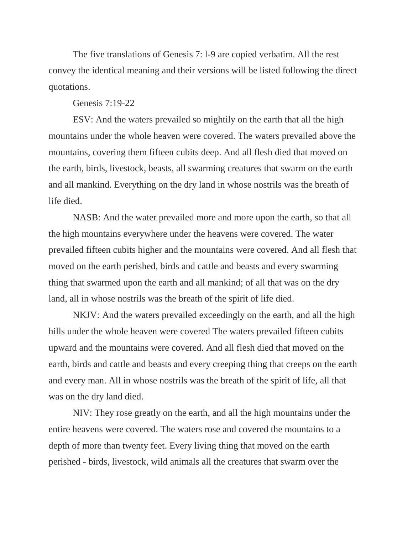The five translations of Genesis 7: l-9 are copied verbatim. All the rest convey the identical meaning and their versions will be listed following the direct quotations.

## Genesis 7:19-22

ESV: And the waters prevailed so mightily on the earth that all the high mountains under the whole heaven were covered. The waters prevailed above the mountains, covering them fifteen cubits deep. And all flesh died that moved on the earth, birds, livestock, beasts, all swarming creatures that swarm on the earth and all mankind. Everything on the dry land in whose nostrils was the breath of life died.

NASB: And the water prevailed more and more upon the earth, so that all the high mountains everywhere under the heavens were covered. The water prevailed fifteen cubits higher and the mountains were covered. And all flesh that moved on the earth perished, birds and cattle and beasts and every swarming thing that swarmed upon the earth and all mankind; of all that was on the dry land, all in whose nostrils was the breath of the spirit of life died.

NKJV: And the waters prevailed exceedingly on the earth, and all the high hills under the whole heaven were covered The waters prevailed fifteen cubits upward and the mountains were covered. And all flesh died that moved on the earth, birds and cattle and beasts and every creeping thing that creeps on the earth and every man. All in whose nostrils was the breath of the spirit of life, all that was on the dry land died.

NIV: They rose greatly on the earth, and all the high mountains under the entire heavens were covered. The waters rose and covered the mountains to a depth of more than twenty feet. Every living thing that moved on the earth perished - birds, livestock, wild animals all the creatures that swarm over the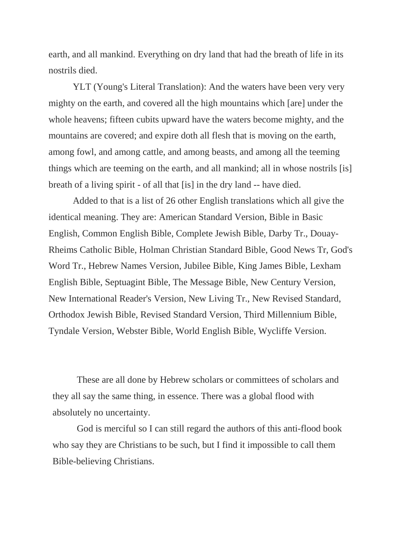earth, and all mankind. Everything on dry land that had the breath of life in its nostrils died.

YLT (Young's Literal Translation): And the waters have been very very mighty on the earth, and covered all the high mountains which [are] under the whole heavens; fifteen cubits upward have the waters become mighty, and the mountains are covered; and expire doth all flesh that is moving on the earth, among fowl, and among cattle, and among beasts, and among all the teeming things which are teeming on the earth, and all mankind; all in whose nostrils [is] breath of a living spirit - of all that [is] in the dry land -- have died.

Added to that is a list of 26 other English translations which all give the identical meaning. They are: American Standard Version, Bible in Basic English, Common English Bible, Complete Jewish Bible, Darby Tr., Douay-Rheims Catholic Bible, Holman Christian Standard Bible, Good News Tr, God's Word Tr., Hebrew Names Version, Jubilee Bible, King James Bible, Lexham English Bible, Septuagint Bible, The Message Bible, New Century Version, New International Reader's Version, New Living Tr., New Revised Standard, Orthodox Jewish Bible, Revised Standard Version, Third Millennium Bible, Tyndale Version, Webster Bible, World English Bible, Wycliffe Version.

These are all done by Hebrew scholars or committees of scholars and they all say the same thing, in essence. There was a global flood with absolutely no uncertainty.

God is merciful so I can still regard the authors of this anti-flood book who say they are Christians to be such, but I find it impossible to call them Bible-believing Christians.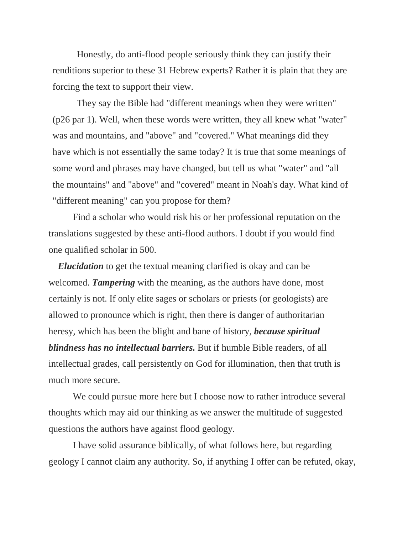Honestly, do anti-flood people seriously think they can justify their renditions superior to these 31 Hebrew experts? Rather it is plain that they are forcing the text to support their view.

They say the Bible had "different meanings when they were written" (p26 par 1). Well, when these words were written, they all knew what "water" was and mountains, and "above" and "covered." What meanings did they have which is not essentially the same today? It is true that some meanings of some word and phrases may have changed, but tell us what "water" and "all the mountains" and "above" and "covered" meant in Noah's day. What kind of "different meaning" can you propose for them?

Find a scholar who would risk his or her professional reputation on the translations suggested by these anti-flood authors. I doubt if you would find one qualified scholar in 500.

 *Elucidation* to get the textual meaning clarified is okay and can be welcomed. *Tampering* with the meaning, as the authors have done, most certainly is not. If only elite sages or scholars or priests (or geologists) are allowed to pronounce which is right, then there is danger of authoritarian heresy, which has been the blight and bane of history, *because spiritual blindness has no intellectual barriers.* But if humble Bible readers, of all intellectual grades, call persistently on God for illumination, then that truth is much more secure.

We could pursue more here but I choose now to rather introduce several thoughts which may aid our thinking as we answer the multitude of suggested questions the authors have against flood geology.

I have solid assurance biblically, of what follows here, but regarding geology I cannot claim any authority. So, if anything I offer can be refuted, okay,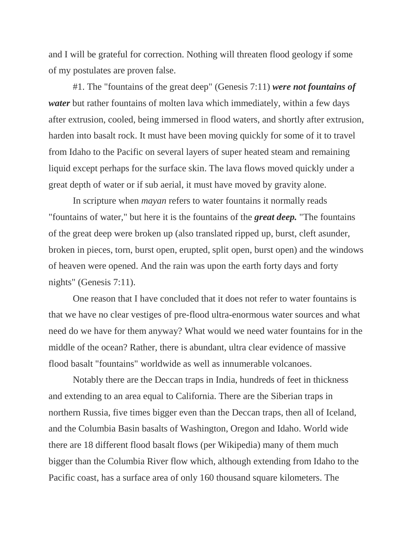and I will be grateful for correction. Nothing will threaten flood geology if some of my postulates are proven false.

#1. The "fountains of the great deep" (Genesis 7:11) *were not fountains of water* but rather fountains of molten lava which immediately, within a few days after extrusion, cooled, being immersed in flood waters, and shortly after extrusion, harden into basalt rock. It must have been moving quickly for some of it to travel from Idaho to the Pacific on several layers of super heated steam and remaining liquid except perhaps for the surface skin. The lava flows moved quickly under a great depth of water or if sub aerial, it must have moved by gravity alone.

In scripture when *mayan* refers to water fountains it normally reads "fountains of water," but here it is the fountains of the *great deep.* "The fountains of the great deep were broken up (also translated ripped up, burst, cleft asunder, broken in pieces, torn, burst open, erupted, split open, burst open) and the windows of heaven were opened. And the rain was upon the earth forty days and forty nights" (Genesis 7:11).

One reason that I have concluded that it does not refer to water fountains is that we have no clear vestiges of pre-flood ultra-enormous water sources and what need do we have for them anyway? What would we need water fountains for in the middle of the ocean? Rather, there is abundant, ultra clear evidence of massive flood basalt "fountains" worldwide as well as innumerable volcanoes.

Notably there are the Deccan traps in India, hundreds of feet in thickness and extending to an area equal to California. There are the Siberian traps in northern Russia, five times bigger even than the Deccan traps, then all of Iceland, and the Columbia Basin basalts of Washington, Oregon and Idaho. World wide there are 18 different flood basalt flows (per Wikipedia) many of them much bigger than the Columbia River flow which, although extending from Idaho to the Pacific coast, has a surface area of only 160 thousand square kilometers. The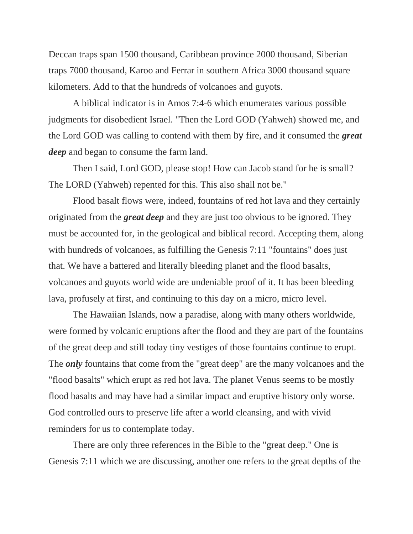Deccan traps span 1500 thousand, Caribbean province 2000 thousand, Siberian traps 7000 thousand, Karoo and Ferrar in southern Africa 3000 thousand square kilometers. Add to that the hundreds of volcanoes and guyots.

A biblical indicator is in Amos 7:4-6 which enumerates various possible judgments for disobedient Israel. "Then the Lord GOD (Yahweh) showed me, and the Lord GOD was calling to contend with them by fire, and it consumed the *great deep* and began to consume the farm land.

Then I said, Lord GOD, please stop! How can Jacob stand for he is small? The LORD (Yahweh) repented for this. This also shall not be."

Flood basalt flows were, indeed, fountains of red hot lava and they certainly originated from the *great deep* and they are just too obvious to be ignored. They must be accounted for, in the geological and biblical record. Accepting them, along with hundreds of volcanoes, as fulfilling the Genesis 7:11 "fountains" does just that. We have a battered and literally bleeding planet and the flood basalts, volcanoes and guyots world wide are undeniable proof of it. It has been bleeding lava, profusely at first, and continuing to this day on a micro, micro level.

The Hawaiian Islands, now a paradise, along with many others worldwide, were formed by volcanic eruptions after the flood and they are part of the fountains of the great deep and still today tiny vestiges of those fountains continue to erupt. The *only* fountains that come from the "great deep" are the many volcanoes and the "flood basalts" which erupt as red hot lava. The planet Venus seems to be mostly flood basalts and may have had a similar impact and eruptive history only worse. God controlled ours to preserve life after a world cleansing, and with vivid reminders for us to contemplate today.

There are only three references in the Bible to the "great deep." One is Genesis 7:11 which we are discussing, another one refers to the great depths of the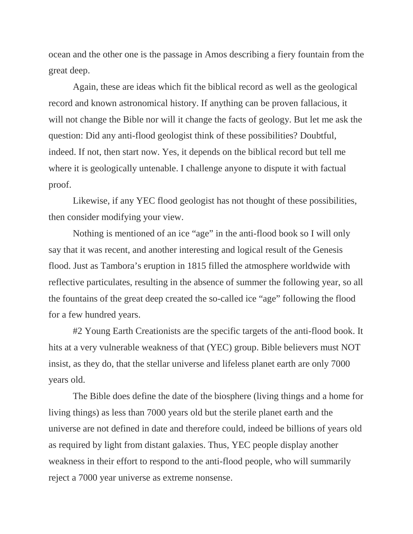ocean and the other one is the passage in Amos describing a fiery fountain from the great deep.

Again, these are ideas which fit the biblical record as well as the geological record and known astronomical history. If anything can be proven fallacious, it will not change the Bible nor will it change the facts of geology. But let me ask the question: Did any anti-flood geologist think of these possibilities? Doubtful, indeed. If not, then start now. Yes, it depends on the biblical record but tell me where it is geologically untenable. I challenge anyone to dispute it with factual proof.

Likewise, if any YEC flood geologist has not thought of these possibilities, then consider modifying your view.

Nothing is mentioned of an ice "age" in the anti-flood book so I will only say that it was recent, and another interesting and logical result of the Genesis flood. Just as Tambora's eruption in 1815 filled the atmosphere worldwide with reflective particulates, resulting in the absence of summer the following year, so all the fountains of the great deep created the so-called ice "age" following the flood for a few hundred years.

#2 Young Earth Creationists are the specific targets of the anti-flood book. It hits at a very vulnerable weakness of that (YEC) group. Bible believers must NOT insist, as they do, that the stellar universe and lifeless planet earth are only 7000 years old.

The Bible does define the date of the biosphere (living things and a home for living things) as less than 7000 years old but the sterile planet earth and the universe are not defined in date and therefore could, indeed be billions of years old as required by light from distant galaxies. Thus, YEC people display another weakness in their effort to respond to the anti-flood people, who will summarily reject a 7000 year universe as extreme nonsense.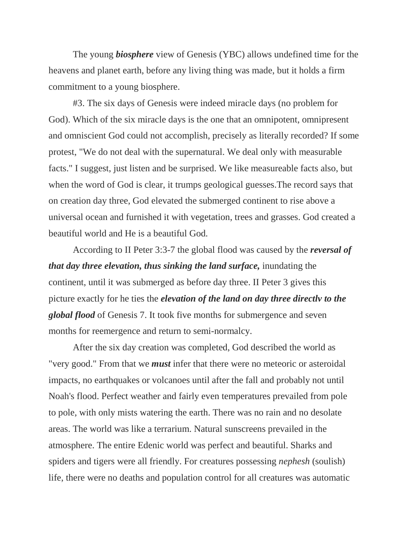The young *biosphere* view of Genesis (YBC) allows undefined time for the heavens and planet earth, before any living thing was made, but it holds a firm commitment to a young biosphere.

#3. The six days of Genesis were indeed miracle days (no problem for God). Which of the six miracle days is the one that an omnipotent, omnipresent and omniscient God could not accomplish, precisely as literally recorded? If some protest, "We do not deal with the supernatural. We deal only with measurable facts." I suggest, just listen and be surprised. We like measureable facts also, but when the word of God is clear, it trumps geological guesses.The record says that on creation day three, God elevated the submerged continent to rise above a universal ocean and furnished it with vegetation, trees and grasses. God created a beautiful world and He is a beautiful God.

According to II Peter 3:3-7 the global flood was caused by the *reversal of that day three elevation, thus sinking the land surface, inundating the* continent, until it was submerged as before day three. II Peter 3 gives this picture exactly for he ties the *elevation of the land on day three directlv to the global flood* of Genesis 7. It took five months for submergence and seven months for reemergence and return to semi-normalcy.

After the six day creation was completed, God described the world as "very good." From that we *must* infer that there were no meteoric or asteroidal impacts, no earthquakes or volcanoes until after the fall and probably not until Noah's flood. Perfect weather and fairly even temperatures prevailed from pole to pole, with only mists watering the earth. There was no rain and no desolate areas. The world was like a terrarium. Natural sunscreens prevailed in the atmosphere. The entire Edenic world was perfect and beautiful. Sharks and spiders and tigers were all friendly. For creatures possessing *nephesh* (soulish) life, there were no deaths and population control for all creatures was automatic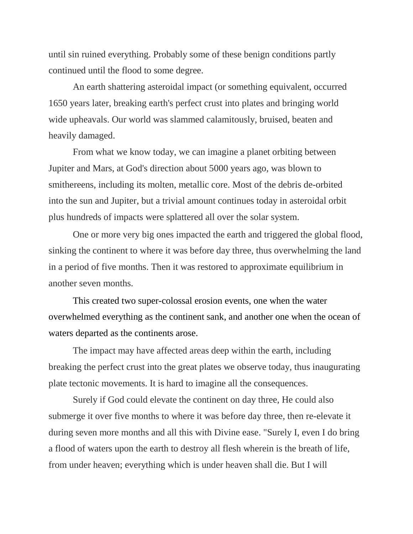until sin ruined everything. Probably some of these benign conditions partly continued until the flood to some degree.

An earth shattering asteroidal impact (or something equivalent, occurred 1650 years later, breaking earth's perfect crust into plates and bringing world wide upheavals. Our world was slammed calamitously, bruised, beaten and heavily damaged.

From what we know today, we can imagine a planet orbiting between Jupiter and Mars, at God's direction about 5000 years ago, was blown to smithereens, including its molten, metallic core. Most of the debris de-orbited into the sun and Jupiter, but a trivial amount continues today in asteroidal orbit plus hundreds of impacts were splattered all over the solar system.

One or more very big ones impacted the earth and triggered the global flood, sinking the continent to where it was before day three, thus overwhelming the land in a period of five months. Then it was restored to approximate equilibrium in another seven months.

This created two super-colossal erosion events, one when the water overwhelmed everything as the continent sank, and another one when the ocean of waters departed as the continents arose.

The impact may have affected areas deep within the earth, including breaking the perfect crust into the great plates we observe today, thus inaugurating plate tectonic movements. It is hard to imagine all the consequences.

Surely if God could elevate the continent on day three, He could also submerge it over five months to where it was before day three, then re-elevate it during seven more months and all this with Divine ease. "Surely I, even I do bring a flood of waters upon the earth to destroy all flesh wherein is the breath of life, from under heaven; everything which is under heaven shall die. But I will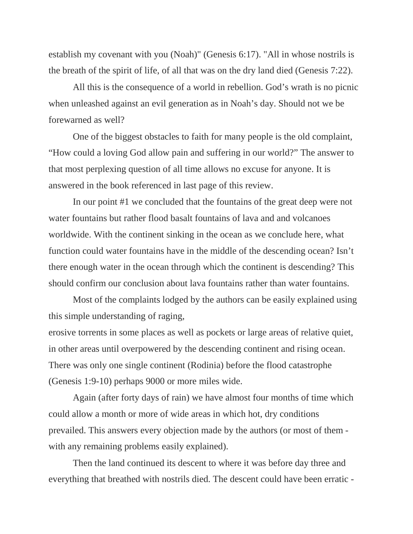establish my covenant with you (Noah)" (Genesis 6:17). "All in whose nostrils is the breath of the spirit of life, of all that was on the dry land died (Genesis 7:22).

All this is the consequence of a world in rebellion. God's wrath is no picnic when unleashed against an evil generation as in Noah's day. Should not we be forewarned as well?

One of the biggest obstacles to faith for many people is the old complaint, "How could a loving God allow pain and suffering in our world?" The answer to that most perplexing question of all time allows no excuse for anyone. It is answered in the book referenced in last page of this review.

In our point #1 we concluded that the fountains of the great deep were not water fountains but rather flood basalt fountains of lava and and volcanoes worldwide. With the continent sinking in the ocean as we conclude here, what function could water fountains have in the middle of the descending ocean? Isn't there enough water in the ocean through which the continent is descending? This should confirm our conclusion about lava fountains rather than water fountains.

Most of the complaints lodged by the authors can be easily explained using this simple understanding of raging,

erosive torrents in some places as well as pockets or large areas of relative quiet, in other areas until overpowered by the descending continent and rising ocean. There was only one single continent (Rodinia) before the flood catastrophe (Genesis 1:9-10) perhaps 9000 or more miles wide.

Again (after forty days of rain) we have almost four months of time which could allow a month or more of wide areas in which hot, dry conditions prevailed. This answers every objection made by the authors (or most of them with any remaining problems easily explained).

Then the land continued its descent to where it was before day three and everything that breathed with nostrils died. The descent could have been erratic -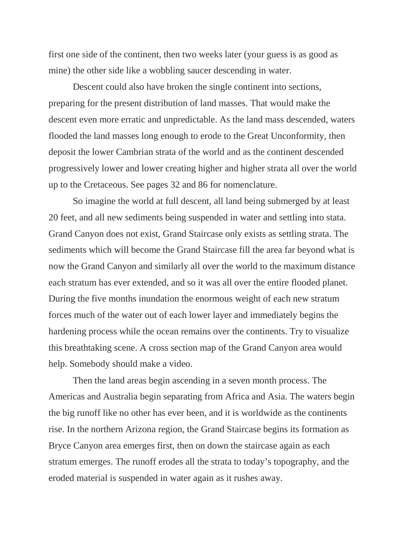first one side of the continent, then two weeks later (your guess is as good as mine) the other side like a wobbling saucer descending in water.

Descent could also have broken the single continent into sections, preparing for the present distribution of land masses. That would make the descent even more erratic and unpredictable. As the land mass descended, waters flooded the land masses long enough to erode to the Great Unconformity, then deposit the lower Cambrian strata of the world and as the continent descended progressively lower and lower creating higher and higher strata all over the world up to the Cretaceous. See pages 32 and 86 for nomenclature.

So imagine the world at full descent, all land being submerged by at least 20 feet, and all new sediments being suspended in water and settling into stata. Grand Canyon does not exist, Grand Staircase only exists as settling strata. The sediments which will become the Grand Staircase fill the area far beyond what is now the Grand Canyon and similarly all over the world to the maximum distance each stratum has ever extended, and so it was all over the entire flooded planet. During the five months inundation the enormous weight of each new stratum forces much of the water out of each lower layer and immediately begins the hardening process while the ocean remains over the continents. Try to visualize this breathtaking scene. A cross section map of the Grand Canyon area would help. Somebody should make a video.

Then the land areas begin ascending in a seven month process. The Americas and Australia begin separating from Africa and Asia. The waters begin the big runoff like no other has ever been, and it is worldwide as the continents rise. In the northern Arizona region, the Grand Staircase begins its formation as Bryce Canyon area emerges first, then on down the staircase again as each stratum emerges. The runoff erodes all the strata to today's topography, and the eroded material is suspended in water again as it rushes away.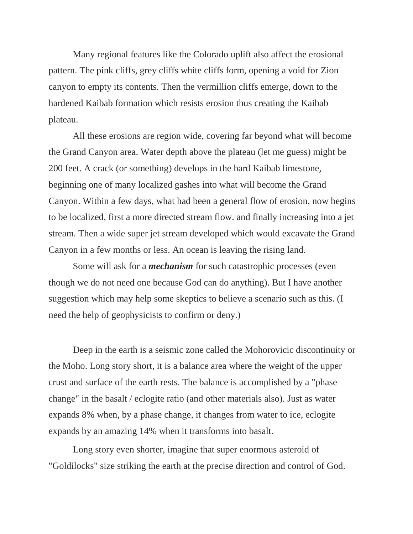Many regional features like the Colorado uplift also affect the erosional pattern. The pink cliffs, grey cliffs white cliffs form, opening a void for Zion canyon to empty its contents. Then the vermillion cliffs emerge, down to the hardened Kaibab formation which resists erosion thus creating the Kaibab plateau.

All these erosions are region wide, covering far beyond what will become the Grand Canyon area. Water depth above the plateau (let me guess) might be 200 feet. A crack (or something) develops in the hard Kaibab limestone, beginning one of many localized gashes into what will become the Grand Canyon. Within a few days, what had been a general flow of erosion, now begins to be localized, first a more directed stream flow. and finally increasing into a jet stream. Then a wide super jet stream developed which would excavate the Grand Canyon in a few months or less. An ocean is leaving the rising land.

Some will ask for a *mechanism* for such catastrophic processes (even though we do not need one because God can do anything). But I have another suggestion which may help some skeptics to believe a scenario such as this. (I need the help of geophysicists to confirm or deny.)

Deep in the earth is a seismic zone called the Mohorovicic discontinuity or the Moho. Long story short, it is a balance area where the weight of the upper crust and surface of the earth rests. The balance is accomplished by a "phase change" in the basalt / eclogite ratio (and other materials also). Just as water expands 8% when, by a phase change, it changes from water to ice, eclogite expands by an amazing 14% when it transforms into basalt.

Long story even shorter, imagine that super enormous asteroid of "Goldilocks" size striking the earth at the precise direction and control of God.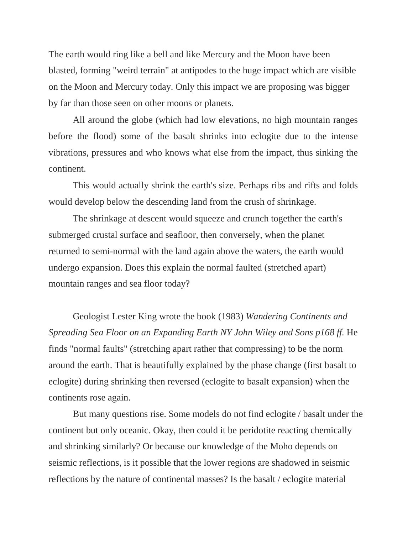The earth would ring like a bell and like Mercury and the Moon have been blasted, forming "weird terrain" at antipodes to the huge impact which are visible on the Moon and Mercury today. Only this impact we are proposing was bigger by far than those seen on other moons or planets.

All around the globe (which had low elevations, no high mountain ranges before the flood) some of the basalt shrinks into eclogite due to the intense vibrations, pressures and who knows what else from the impact, thus sinking the continent.

This would actually shrink the earth's size. Perhaps ribs and rifts and folds would develop below the descending land from the crush of shrinkage.

The shrinkage at descent would squeeze and crunch together the earth's submerged crustal surface and seafloor, then conversely, when the planet returned to semi-normal with the land again above the waters, the earth would undergo expansion. Does this explain the normal faulted (stretched apart) mountain ranges and sea floor today?

Geologist Lester King wrote the book (1983) *Wandering Continents and Spreading Sea Floor on an Expanding Earth NY John Wiley and Sons p168 ff.* He finds "normal faults" (stretching apart rather that compressing) to be the norm around the earth. That is beautifully explained by the phase change (first basalt to eclogite) during shrinking then reversed (eclogite to basalt expansion) when the continents rose again.

But many questions rise. Some models do not find eclogite / basalt under the continent but only oceanic. Okay, then could it be peridotite reacting chemically and shrinking similarly? Or because our knowledge of the Moho depends on seismic reflections, is it possible that the lower regions are shadowed in seismic reflections by the nature of continental masses? Is the basalt / eclogite material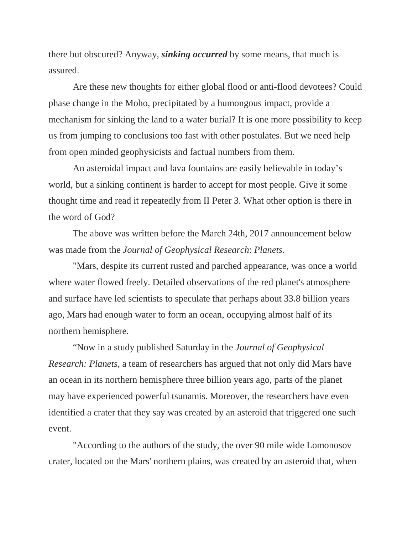there but obscured? Anyway, *sinking occurred* by some means, that much is assured.

Are these new thoughts for either global flood or anti-flood devotees? Could phase change in the Moho, precipitated by a humongous impact, provide a mechanism for sinking the land to a water burial? It is one more possibility to keep us from jumping to conclusions too fast with other postulates. But we need help from open minded geophysicists and factual numbers from them.

An asteroidal impact and lava fountains are easily believable in today's world, but a sinking continent is harder to accept for most people. Give it some thought time and read it repeatedly from II Peter 3. What other option is there in the word of God?

The above was written before the March 24th, 2017 announcement below was made from the *Journal of Geophysical Research*: *Planets*.

"Mars, despite its current rusted and parched appearance, was once a world where water flowed freely. Detailed observations of the red planet's atmosphere and surface have led scientists to speculate that perhaps about 33.8 billion years ago, Mars had enough water to form an ocean, occupying almost half of its northern hemisphere.

"Now in a study published Saturday in the *Journal of Geophysical Research: Planets,* a team of researchers has argued that not only did Mars have an ocean in its northern hemisphere three billion years ago, parts of the planet may have experienced powerful tsunamis. Moreover, the researchers have even identified a crater that they say was created by an asteroid that triggered one such event.

"According to the authors of the study, the over 90 mile wide Lomonosov crater, located on the Mars' northern plains, was created by an asteroid that, when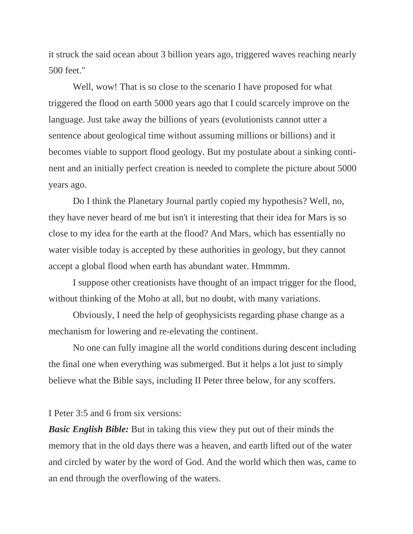it struck the said ocean about 3 billion years ago, triggered waves reaching nearly 500 feet."

Well, wow! That is so close to the scenario I have proposed for what triggered the flood on earth 5000 years ago that I could scarcely improve on the language. Just take away the billions of years (evolutionists cannot utter a sentence about geological time without assuming millions or billions) and it becomes viable to support flood geology. But my postulate about a sinking continent and an initially perfect creation is needed to complete the picture about 5000 years ago.

Do I think the Planetary Journal partly copied my hypothesis? Well, no, they have never heard of me but isn't it interesting that their idea for Mars is so close to my idea for the earth at the flood? And Mars, which has essentially no water visible today is accepted by these authorities in geology, but they cannot accept a global flood when earth has abundant water. Hmmmm.

I suppose other creationists have thought of an impact trigger for the flood, without thinking of the Moho at all, but no doubt, with many variations.

Obviously, I need the help of geophysicists regarding phase change as a mechanism for lowering and re-elevating the continent.

No one can fully imagine all the world conditions during descent including the final one when everything was submerged. But it helps a lot just to simply believe what the Bible says, including II Peter three below, for any scoffers.

I Peter 3:5 and 6 from six versions:

*Basic English Bible:* But in taking this view they put out of their minds the memory that in the old days there was a heaven, and earth lifted out of the water and circled by water by the word of God. And the world which then was, came to an end through the overflowing of the waters.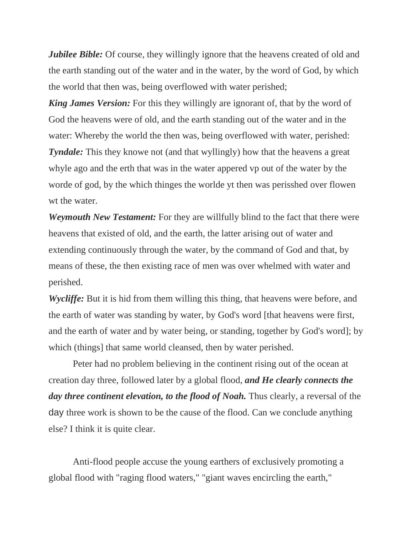*Jubilee Bible:* Of course, they willingly ignore that the heavens created of old and the earth standing out of the water and in the water, by the word of God, by which the world that then was, being overflowed with water perished;

*King James Version:* For this they willingly are ignorant of, that by the word of God the heavens were of old, and the earth standing out of the water and in the water: Whereby the world the then was, being overflowed with water, perished: *Tyndale:* This they knowe not (and that wyllingly) how that the heavens a great whyle ago and the erth that was in the water appered vp out of the water by the worde of god, by the which thinges the worlde yt then was perisshed over flowen wt the water.

*Weymouth New Testament:* For they are willfully blind to the fact that there were heavens that existed of old, and the earth, the latter arising out of water and extending continuously through the water, by the command of God and that, by means of these, the then existing race of men was over whelmed with water and perished.

*Wycliffe:* But it is hid from them willing this thing, that heavens were before, and the earth of water was standing by water, by God's word [that heavens were first, and the earth of water and by water being, or standing, together by God's word]; by which (things] that same world cleansed, then by water perished.

Peter had no problem believing in the continent rising out of the ocean at creation day three, followed later by a global flood, *and He clearly connects the day three continent elevation, to the flood of Noah.* Thus clearly, a reversal of the day three work is shown to be the cause of the flood. Can we conclude anything else? I think it is quite clear.

Anti-flood people accuse the young earthers of exclusively promoting a global flood with "raging flood waters," "giant waves encircling the earth,"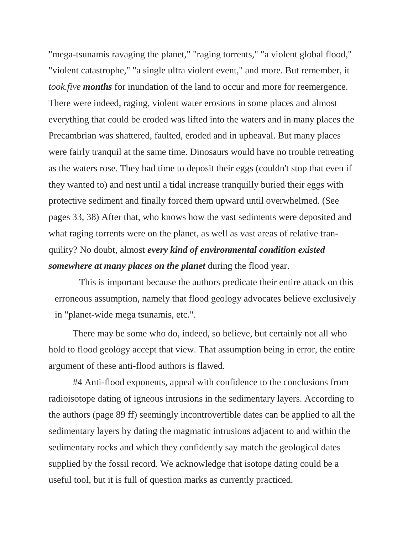"mega-tsunamis ravaging the planet," "raging torrents," "a violent global flood," "violent catastrophe," "a single ultra violent event," and more. But remember, it *took.five months* for inundation of the land to occur and more for reemergence. There were indeed, raging, violent water erosions in some places and almost everything that could be eroded was lifted into the waters and in many places the Precambrian was shattered, faulted, eroded and in upheaval. But many places were fairly tranquil at the same time. Dinosaurs would have no trouble retreating as the waters rose. They had time to deposit their eggs (couldn't stop that even if they wanted to) and nest until a tidal increase tranquilly buried their eggs with protective sediment and finally forced them upward until overwhelmed. (See pages 33, 38) After that, who knows how the vast sediments were deposited and what raging torrents were on the planet, as well as vast areas of relative tranquility? No doubt, almost *every kind of environmental condition existed somewhere at many places on the planet* during the flood year.

This is important because the authors predicate their entire attack on this erroneous assumption, namely that flood geology advocates believe exclusively in "planet-wide mega tsunamis, etc.".

There may be some who do, indeed, so believe, but certainly not all who hold to flood geology accept that view. That assumption being in error, the entire argument of these anti-flood authors is flawed.

#4 Anti-flood exponents, appeal with confidence to the conclusions from radioisotope dating of igneous intrusions in the sedimentary layers. According to the authors (page 89 ff) seemingly incontrovertible dates can be applied to all the sedimentary layers by dating the magmatic intrusions adjacent to and within the sedimentary rocks and which they confidently say match the geological dates supplied by the fossil record. We acknowledge that isotope dating could be a useful tool, but it is full of question marks as currently practiced.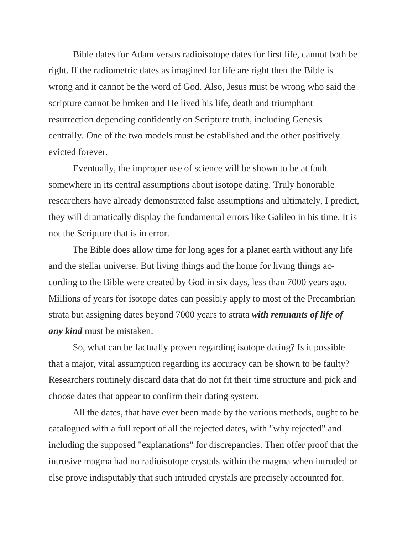Bible dates for Adam versus radioisotope dates for first life, cannot both be right. If the radiometric dates as imagined for life are right then the Bible is wrong and it cannot be the word of God. Also, Jesus must be wrong who said the scripture cannot be broken and He lived his life, death and triumphant resurrection depending confidently on Scripture truth, including Genesis centrally. One of the two models must be established and the other positively evicted forever.

Eventually, the improper use of science will be shown to be at fault somewhere in its central assumptions about isotope dating. Truly honorable researchers have already demonstrated false assumptions and ultimately, I predict, they will dramatically display the fundamental errors like Galileo in his time. It is not the Scripture that is in error.

The Bible does allow time for long ages for a planet earth without any life and the stellar universe. But living things and the home for living things according to the Bible were created by God in six days, less than 7000 years ago. Millions of years for isotope dates can possibly apply to most of the Precambrian strata but assigning dates beyond 7000 years to strata *with remnants of life of any kind* must be mistaken.

So, what can be factually proven regarding isotope dating? Is it possible that a major, vital assumption regarding its accuracy can be shown to be faulty? Researchers routinely discard data that do not fit their time structure and pick and choose dates that appear to confirm their dating system.

All the dates, that have ever been made by the various methods, ought to be catalogued with a full report of all the rejected dates, with "why rejected" and including the supposed "explanations" for discrepancies. Then offer proof that the intrusive magma had no radioisotope crystals within the magma when intruded or else prove indisputably that such intruded crystals are precisely accounted for.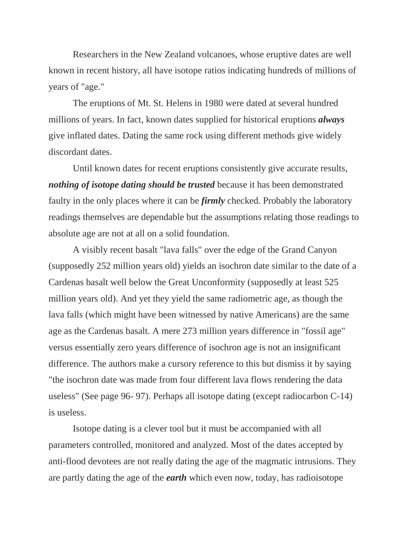Researchers in the New Zealand volcanoes, whose eruptive dates are well known in recent history, all have isotope ratios indicating hundreds of millions of years of "age."

The eruptions of Mt. St. Helens in 1980 were dated at several hundred millions of years. In fact, known dates supplied for historical eruptions *always*  give inflated dates. Dating the same rock using different methods give widely discordant dates.

Until known dates for recent eruptions consistently give accurate results, *nothing of isotope dating should be trusted* because it has been demonstrated faulty in the only places where it can be *firmly* checked. Probably the laboratory readings themselves are dependable but the assumptions relating those readings to absolute age are not at all on a solid foundation.

A visibly recent basalt "lava falls" over the edge of the Grand Canyon (supposedly 252 million years old) yields an isochron date similar to the date of a Cardenas basalt well below the Great Unconformity (supposedly at least 525 million years old). And yet they yield the same radiometric age, as though the lava falls (which might have been witnessed by native Americans) are the same age as the Cardenas basalt. A mere 273 million years difference in "fossil age" versus essentially zero years difference of isochron age is not an insignificant difference. The authors make a cursory reference to this but dismiss it by saying "the isochron date was made from four different lava flows rendering the data useless" (See page 96- 97). Perhaps all isotope dating (except radiocarbon C-14) is useless.

Isotope dating is a clever tool but it must be accompanied with all parameters controlled, monitored and analyzed. Most of the dates accepted by anti-flood devotees are not really dating the age of the magmatic intrusions. They are partly dating the age of the *earth* which even now, today, has radioisotope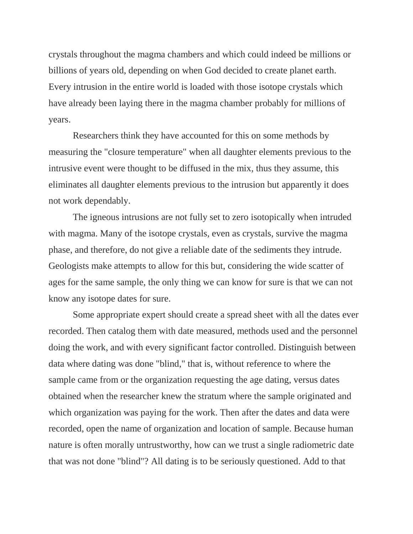crystals throughout the magma chambers and which could indeed be millions or billions of years old, depending on when God decided to create planet earth. Every intrusion in the entire world is loaded with those isotope crystals which have already been laying there in the magma chamber probably for millions of years.

Researchers think they have accounted for this on some methods by measuring the "closure temperature" when all daughter elements previous to the intrusive event were thought to be diffused in the mix, thus they assume, this eliminates all daughter elements previous to the intrusion but apparently it does not work dependably.

The igneous intrusions are not fully set to zero isotopically when intruded with magma. Many of the isotope crystals, even as crystals, survive the magma phase, and therefore, do not give a reliable date of the sediments they intrude. Geologists make attempts to allow for this but, considering the wide scatter of ages for the same sample, the only thing we can know for sure is that we can not know any isotope dates for sure.

Some appropriate expert should create a spread sheet with all the dates ever recorded. Then catalog them with date measured, methods used and the personnel doing the work, and with every significant factor controlled. Distinguish between data where dating was done "blind," that is, without reference to where the sample came from or the organization requesting the age dating, versus dates obtained when the researcher knew the stratum where the sample originated and which organization was paying for the work. Then after the dates and data were recorded, open the name of organization and location of sample. Because human nature is often morally untrustworthy, how can we trust a single radiometric date that was not done "blind"? All dating is to be seriously questioned. Add to that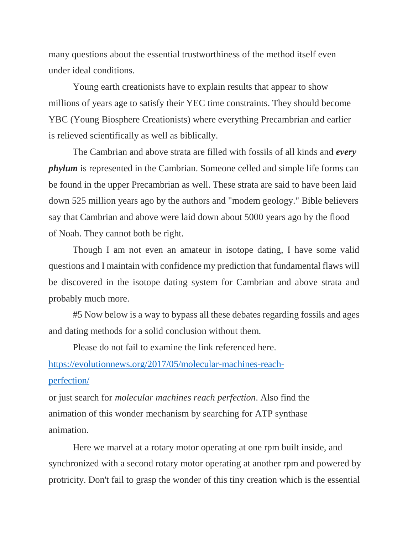many questions about the essential trustworthiness of the method itself even under ideal conditions.

Young earth creationists have to explain results that appear to show millions of years age to satisfy their YEC time constraints. They should become YBC (Young Biosphere Creationists) where everything Precambrian and earlier is relieved scientifically as well as biblically.

The Cambrian and above strata are filled with fossils of all kinds and *every phylum* is represented in the Cambrian. Someone celled and simple life forms can be found in the upper Precambrian as well. These strata are said to have been laid down 525 million years ago by the authors and "modem geology." Bible believers say that Cambrian and above were laid down about 5000 years ago by the flood of Noah. They cannot both be right.

Though I am not even an amateur in isotope dating, I have some valid questions and I maintain with confidence my prediction that fundamental flaws will be discovered in the isotope dating system for Cambrian and above strata and probably much more.

#5 Now below is a way to bypass all these debates regarding fossils and ages and dating methods for a solid conclusion without them.

Please do not fail to examine the link referenced here.

[https://evolutionnews.org/2017/05/molecular-machines-reach](https://evolutionnews.org/2017/05/molecular-machines-reach-perfection/)[perfection/](https://evolutionnews.org/2017/05/molecular-machines-reach-perfection/)

or just search for *molecular machines reach perfection*. Also find the animation of this wonder mechanism by searching for ATP synthase animation.

Here we marvel at a rotary motor operating at one rpm built inside, and synchronized with a second rotary motor operating at another rpm and powered by protricity. Don't fail to grasp the wonder of this tiny creation which is the essential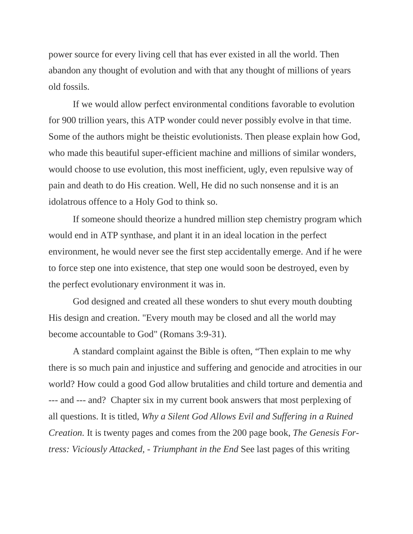power source for every living cell that has ever existed in all the world. Then abandon any thought of evolution and with that any thought of millions of years old fossils.

If we would allow perfect environmental conditions favorable to evolution for 900 trillion years, this ATP wonder could never possibly evolve in that time. Some of the authors might be theistic evolutionists. Then please explain how God, who made this beautiful super-efficient machine and millions of similar wonders, would choose to use evolution, this most inefficient, ugly, even repulsive way of pain and death to do His creation. Well, He did no such nonsense and it is an idolatrous offence to a Holy God to think so.

If someone should theorize a hundred million step chemistry program which would end in ATP synthase, and plant it in an ideal location in the perfect environment, he would never see the first step accidentally emerge. And if he were to force step one into existence, that step one would soon be destroyed, even by the perfect evolutionary environment it was in.

God designed and created all these wonders to shut every mouth doubting His design and creation. "Every mouth may be closed and all the world may become accountable to God" (Romans 3:9-31).

A standard complaint against the Bible is often, "Then explain to me why there is so much pain and injustice and suffering and genocide and atrocities in our world? How could a good God allow brutalities and child torture and dementia and --- and --- and? Chapter six in my current book answers that most perplexing of all questions. It is titled, *Why a Silent God Allows Evil and Suffering in a Ruined Creation.* It is twenty pages and comes from the 200 page book, *The Genesis Fortress: Viciously Attacked,* - *Triumphant in the End* See last pages of this writing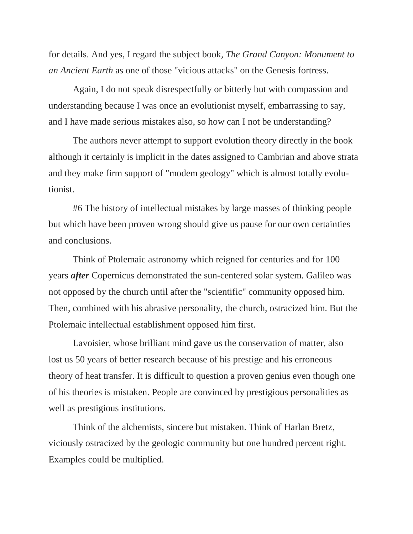for details. And yes, I regard the subject book, *The Grand Canyon: Monument to an Ancient Earth* as one of those "vicious attacks" on the Genesis fortress.

Again, I do not speak disrespectfully or bitterly but with compassion and understanding because I was once an evolutionist myself, embarrassing to say, and I have made serious mistakes also, so how can I not be understanding?

The authors never attempt to support evolution theory directly in the book although it certainly is implicit in the dates assigned to Cambrian and above strata and they make firm support of "modem geology" which is almost totally evolutionist.

#6 The history of intellectual mistakes by large masses of thinking people but which have been proven wrong should give us pause for our own certainties and conclusions.

Think of Ptolemaic astronomy which reigned for centuries and for 100 years *after* Copernicus demonstrated the sun-centered solar system. Galileo was not opposed by the church until after the "scientific" community opposed him. Then, combined with his abrasive personality, the church, ostracized him. But the Ptolemaic intellectual establishment opposed him first.

Lavoisier, whose brilliant mind gave us the conservation of matter, also lost us 50 years of better research because of his prestige and his erroneous theory of heat transfer. It is difficult to question a proven genius even though one of his theories is mistaken. People are convinced by prestigious personalities as well as prestigious institutions.

Think of the alchemists, sincere but mistaken. Think of Harlan Bretz, viciously ostracized by the geologic community but one hundred percent right. Examples could be multiplied.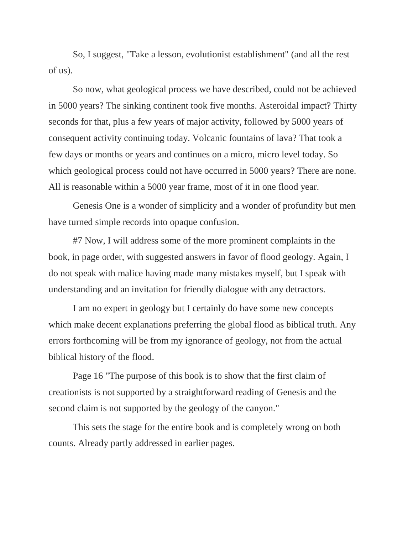So, I suggest, "Take a lesson, evolutionist establishment" (and all the rest of us).

So now, what geological process we have described, could not be achieved in 5000 years? The sinking continent took five months. Asteroidal impact? Thirty seconds for that, plus a few years of major activity, followed by 5000 years of consequent activity continuing today. Volcanic fountains of lava? That took a few days or months or years and continues on a micro, micro level today. So which geological process could not have occurred in 5000 years? There are none. All is reasonable within a 5000 year frame, most of it in one flood year.

Genesis One is a wonder of simplicity and a wonder of profundity but men have turned simple records into opaque confusion.

#7 Now, I will address some of the more prominent complaints in the book, in page order, with suggested answers in favor of flood geology. Again, I do not speak with malice having made many mistakes myself, but I speak with understanding and an invitation for friendly dialogue with any detractors.

I am no expert in geology but I certainly do have some new concepts which make decent explanations preferring the global flood as biblical truth. Any errors forthcoming will be from my ignorance of geology, not from the actual biblical history of the flood.

Page 16 "The purpose of this book is to show that the first claim of creationists is not supported by a straightforward reading of Genesis and the second claim is not supported by the geology of the canyon."

This sets the stage for the entire book and is completely wrong on both counts. Already partly addressed in earlier pages.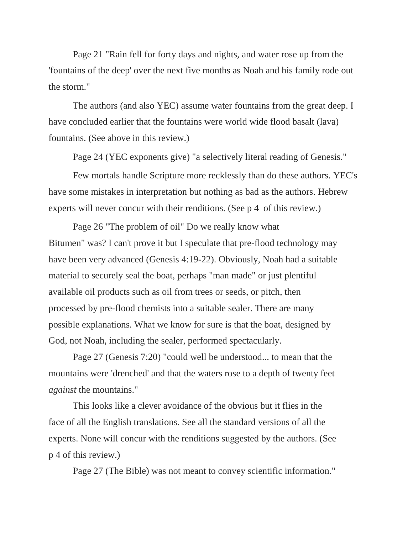Page 21 "Rain fell for forty days and nights, and water rose up from the 'fountains of the deep' over the next five months as Noah and his family rode out the storm."

The authors (and also YEC) assume water fountains from the great deep. I have concluded earlier that the fountains were world wide flood basalt (lava) fountains. (See above in this review.)

Page 24 (YEC exponents give) "a selectively literal reading of Genesis."

Few mortals handle Scripture more recklessly than do these authors. YEC's have some mistakes in interpretation but nothing as bad as the authors. Hebrew experts will never concur with their renditions. (See p 4 of this review.)

Page 26 "The problem of oil" Do we really know what Bitumen" was? I can't prove it but I speculate that pre-flood technology may have been very advanced (Genesis 4:19-22). Obviously, Noah had a suitable material to securely seal the boat, perhaps "man made" or just plentiful available oil products such as oil from trees or seeds, or pitch, then processed by pre-flood chemists into a suitable sealer. There are many possible explanations. What we know for sure is that the boat, designed by God, not Noah, including the sealer, performed spectacularly.

Page 27 (Genesis 7:20) "could well be understood... to mean that the mountains were 'drenched' and that the waters rose to a depth of twenty feet *against* the mountains."

This looks like a clever avoidance of the obvious but it flies in the face of all the English translations. See all the standard versions of all the experts. None will concur with the renditions suggested by the authors. (See p 4 of this review.)

Page 27 (The Bible) was not meant to convey scientific information."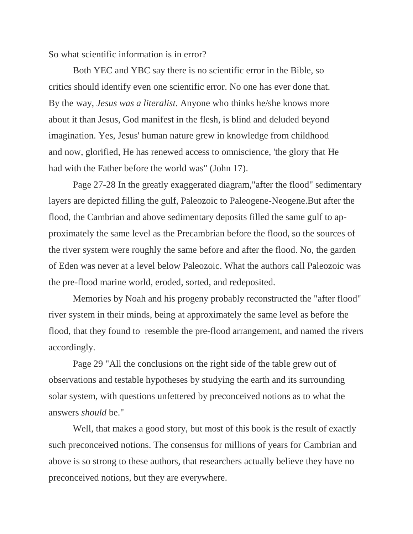So what scientific information is in error?

Both YEC and YBC say there is no scientific error in the Bible, so critics should identify even one scientific error. No one has ever done that. By the way, *Jesus was a literalist.* Anyone who thinks he/she knows more about it than Jesus, God manifest in the flesh, is blind and deluded beyond imagination. Yes, Jesus' human nature grew in knowledge from childhood and now, glorified, He has renewed access to omniscience, 'the glory that He had with the Father before the world was" (John 17).

Page 27-28 In the greatly exaggerated diagram,"after the flood" sedimentary layers are depicted filling the gulf, Paleozoic to Paleogene-Neogene.But after the flood, the Cambrian and above sedimentary deposits filled the same gulf to approximately the same level as the Precambrian before the flood, so the sources of the river system were roughly the same before and after the flood. No, the garden of Eden was never at a level below Paleozoic. What the authors call Paleozoic was the pre-flood marine world, eroded, sorted, and redeposited.

Memories by Noah and his progeny probably reconstructed the "after flood" river system in their minds, being at approximately the same level as before the flood, that they found to resemble the pre-flood arrangement, and named the rivers accordingly.

Page 29 "All the conclusions on the right side of the table grew out of observations and testable hypotheses by studying the earth and its surrounding solar system, with questions unfettered by preconceived notions as to what the answers *should* be."

Well, that makes a good story, but most of this book is the result of exactly such preconceived notions. The consensus for millions of years for Cambrian and above is so strong to these authors, that researchers actually believe they have no preconceived notions, but they are everywhere.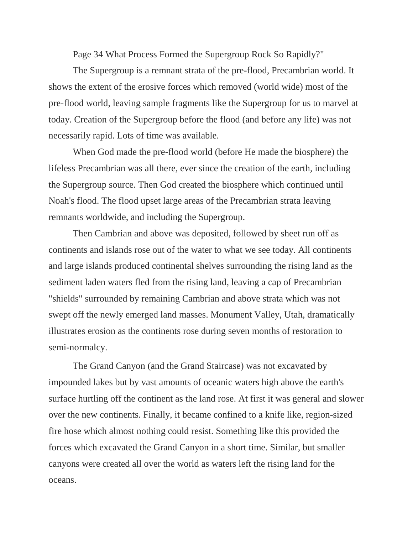Page 34 What Process Formed the Supergroup Rock So Rapidly?"

The Supergroup is a remnant strata of the pre-flood, Precambrian world. It shows the extent of the erosive forces which removed (world wide) most of the pre-flood world, leaving sample fragments like the Supergroup for us to marvel at today. Creation of the Supergroup before the flood (and before any life) was not necessarily rapid. Lots of time was available.

When God made the pre-flood world (before He made the biosphere) the lifeless Precambrian was all there, ever since the creation of the earth, including the Supergroup source. Then God created the biosphere which continued until Noah's flood. The flood upset large areas of the Precambrian strata leaving remnants worldwide, and including the Supergroup.

Then Cambrian and above was deposited, followed by sheet run off as continents and islands rose out of the water to what we see today. All continents and large islands produced continental shelves surrounding the rising land as the sediment laden waters fled from the rising land, leaving a cap of Precambrian "shields" surrounded by remaining Cambrian and above strata which was not swept off the newly emerged land masses. Monument Valley, Utah, dramatically illustrates erosion as the continents rose during seven months of restoration to semi-normalcy.

The Grand Canyon (and the Grand Staircase) was not excavated by impounded lakes but by vast amounts of oceanic waters high above the earth's surface hurtling off the continent as the land rose. At first it was general and slower over the new continents. Finally, it became confined to a knife like, region-sized fire hose which almost nothing could resist. Something like this provided the forces which excavated the Grand Canyon in a short time. Similar, but smaller canyons were created all over the world as waters left the rising land for the oceans.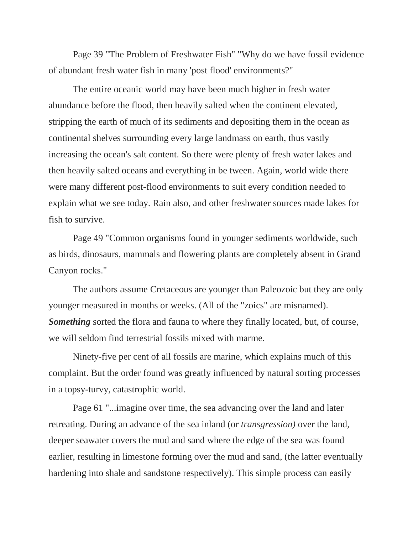Page 39 "The Problem of Freshwater Fish" "Why do we have fossil evidence of abundant fresh water fish in many 'post flood' environments?"

The entire oceanic world may have been much higher in fresh water abundance before the flood, then heavily salted when the continent elevated, stripping the earth of much of its sediments and depositing them in the ocean as continental shelves surrounding every large landmass on earth, thus vastly increasing the ocean's salt content. So there were plenty of fresh water lakes and then heavily salted oceans and everything in be tween. Again, world wide there were many different post-flood environments to suit every condition needed to explain what we see today. Rain also, and other freshwater sources made lakes for fish to survive.

Page 49 "Common organisms found in younger sediments worldwide, such as birds, dinosaurs, mammals and flowering plants are completely absent in Grand Canyon rocks."

The authors assume Cretaceous are younger than Paleozoic but they are only younger measured in months or weeks. (All of the "zoics" are misnamed). *Something* sorted the flora and fauna to where they finally located, but, of course, we will seldom find terrestrial fossils mixed with marme.

Ninety-five per cent of all fossils are marine, which explains much of this complaint. But the order found was greatly influenced by natural sorting processes in a topsy-turvy, catastrophic world.

Page 61 "...imagine over time, the sea advancing over the land and later retreating. During an advance of the sea inland (or *transgression)* over the land, deeper seawater covers the mud and sand where the edge of the sea was found earlier, resulting in limestone forming over the mud and sand, (the latter eventually hardening into shale and sandstone respectively). This simple process can easily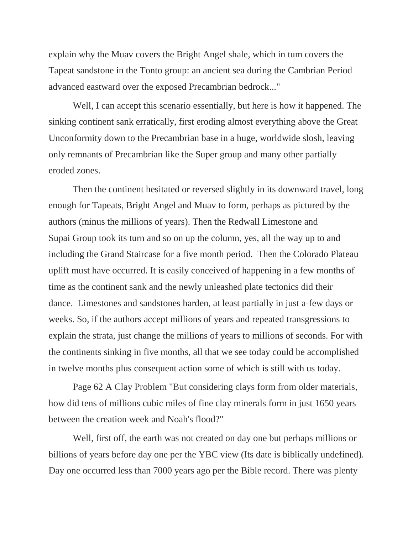explain why the Muav covers the Bright Angel shale, which in tum covers the Tapeat sandstone in the Tonto group: an ancient sea during the Cambrian Period advanced eastward over the exposed Precambrian bedrock..."

Well, I can accept this scenario essentially, but here is how it happened. The sinking continent sank erratically, first eroding almost everything above the Great Unconformity down to the Precambrian base in a huge, worldwide slosh, leaving only remnants of Precambrian like the Super group and many other partially eroded zones.

Then the continent hesitated or reversed slightly in its downward travel, long enough for Tapeats, Bright Angel and Muav to form, perhaps as pictured by the authors (minus the millions of years). Then the Redwall Limestone and Supai Group took its turn and so on up the column, yes, all the way up to and including the Grand Staircase for a five month period. Then the Colorado Plateau uplift must have occurred. It is easily conceived of happening in a few months of time as the continent sank and the newly unleashed plate tectonics did their dance. Limestones and sandstones harden, at least partially in just a-few days or weeks. So, if the authors accept millions of years and repeated transgressions to explain the strata, just change the millions of years to millions of seconds. For with the continents sinking in five months, all that we see today could be accomplished in twelve months plus consequent action some of which is still with us today.

Page 62 A Clay Problem "But considering clays form from older materials, how did tens of millions cubic miles of fine clay minerals form in just 1650 years between the creation week and Noah's flood?"

Well, first off, the earth was not created on day one but perhaps millions or billions of years before day one per the YBC view (Its date is biblically undefined). Day one occurred less than 7000 years ago per the Bible record. There was plenty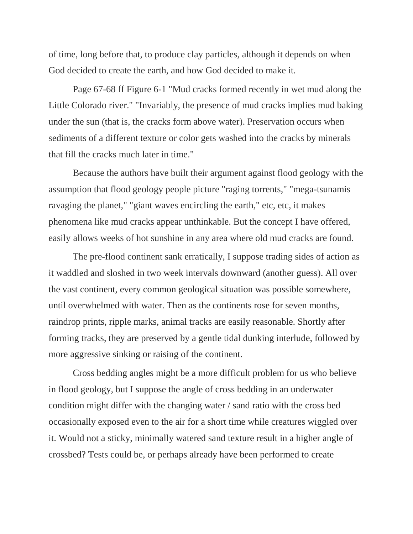of time, long before that, to produce clay particles, although it depends on when God decided to create the earth, and how God decided to make it.

Page 67-68 ff Figure 6-1 "Mud cracks formed recently in wet mud along the Little Colorado river." "Invariably, the presence of mud cracks implies mud baking under the sun (that is, the cracks form above water). Preservation occurs when sediments of a different texture or color gets washed into the cracks by minerals that fill the cracks much later in time."

Because the authors have built their argument against flood geology with the assumption that flood geology people picture "raging torrents," "mega-tsunamis ravaging the planet," "giant waves encircling the earth," etc, etc, it makes phenomena like mud cracks appear unthinkable. But the concept I have offered, easily allows weeks of hot sunshine in any area where old mud cracks are found.

The pre-flood continent sank erratically, I suppose trading sides of action as it waddled and sloshed in two week intervals downward (another guess). All over the vast continent, every common geological situation was possible somewhere, until overwhelmed with water. Then as the continents rose for seven months, raindrop prints, ripple marks, animal tracks are easily reasonable. Shortly after forming tracks, they are preserved by a gentle tidal dunking interlude, followed by more aggressive sinking or raising of the continent.

Cross bedding angles might be a more difficult problem for us who believe in flood geology, but I suppose the angle of cross bedding in an underwater condition might differ with the changing water / sand ratio with the cross bed occasionally exposed even to the air for a short time while creatures wiggled over it. Would not a sticky, minimally watered sand texture result in a higher angle of crossbed? Tests could be, or perhaps already have been performed to create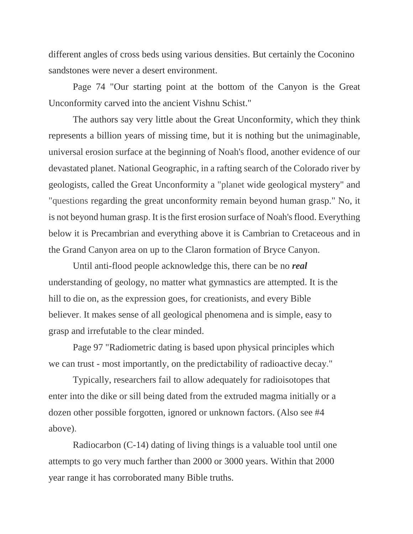different angles of cross beds using various densities. But certainly the Coconino sandstones were never a desert environment.

Page 74 "Our starting point at the bottom of the Canyon is the Great Unconformity carved into the ancient Vishnu Schist."

The authors say very little about the Great Unconformity, which they think represents a billion years of missing time, but it is nothing but the unimaginable, universal erosion surface at the beginning of Noah's flood, another evidence of our devastated planet. National Geographic, in a rafting search of the Colorado river by geologists, called the Great Unconformity a "planet wide geological mystery" and "questions regarding the great unconformity remain beyond human grasp." No, it is not beyond human grasp. It is the first erosion surface of Noah's flood. Everything below it is Precambrian and everything above it is Cambrian to Cretaceous and in the Grand Canyon area on up to the Claron formation of Bryce Canyon.

Until anti-flood people acknowledge this, there can be no *real*  understanding of geology, no matter what gymnastics are attempted. It is the hill to die on, as the expression goes, for creationists, and every Bible believer. It makes sense of all geological phenomena and is simple, easy to grasp and irrefutable to the clear minded.

Page 97 "Radiometric dating is based upon physical principles which we can trust - most importantly, on the predictability of radioactive decay."

Typically, researchers fail to allow adequately for radioisotopes that enter into the dike or sill being dated from the extruded magma initially or a dozen other possible forgotten, ignored or unknown factors. (Also see #4 above).

Radiocarbon (C-14) dating of living things is a valuable tool until one attempts to go very much farther than 2000 or 3000 years. Within that 2000 year range it has corroborated many Bible truths.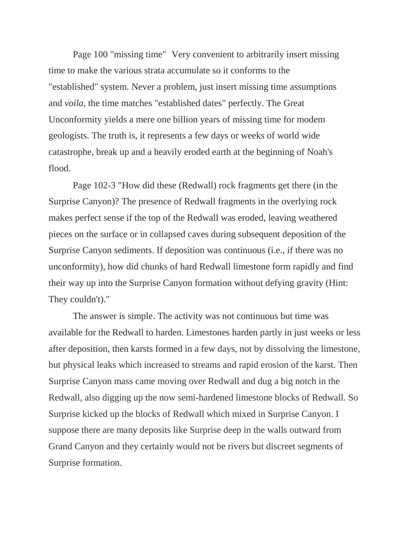Page 100 "missing time" Very convenient to arbitrarily insert missing time to make the various strata accumulate so it conforms to the "established" system. Never a problem, just insert missing time assumptions and *voila,* the time matches "established dates" perfectly. The Great Unconformity yields a mere one billion years of missing time for modem geologists. The truth is, it represents a few days or weeks of world wide catastrophe, break up and a heavily eroded earth at the beginning of Noah's flood.

Page 102-3 "How did these (Redwall) rock fragments get there (in the Surprise Canyon)? The presence of Redwall fragments in the overlying rock makes perfect sense if the top of the Redwall was eroded, leaving weathered pieces on the surface or in collapsed caves during subsequent deposition of the Surprise Canyon sediments. If deposition was continuous (i.e., if there was no unconformity), how did chunks of hard Redwall limestone form rapidly and find their way up into the Surprise Canyon formation without defying gravity (Hint: They couldn't)."

The answer is simple. The activity was not continuous but time was available for the Redwall to harden. Limestones harden partly in just weeks or less after deposition, then karsts formed in a few days, not by dissolving the limestone, but physical leaks which increased to streams and rapid erosion of the karst. Then Surprise Canyon mass came moving over Redwall and dug a big notch in the Redwall, also digging up the now semi-hardened limestone blocks of Redwall. So Surprise kicked up the blocks of Redwall which mixed in Surprise Canyon. I suppose there are many deposits like Surprise deep in the walls outward from Grand Canyon and they certainly would not be rivers but discreet segments of Surprise formation.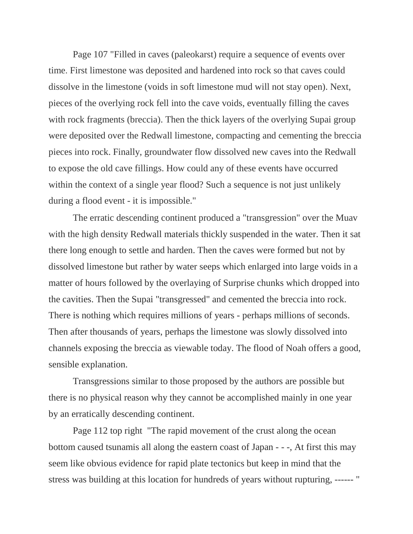Page 107 "Filled in caves (paleokarst) require a sequence of events over time. First limestone was deposited and hardened into rock so that caves could dissolve in the limestone (voids in soft limestone mud will not stay open). Next, pieces of the overlying rock fell into the cave voids, eventually filling the caves with rock fragments (breccia). Then the thick layers of the overlying Supai group were deposited over the Redwall limestone, compacting and cementing the breccia pieces into rock. Finally, groundwater flow dissolved new caves into the Redwall to expose the old cave fillings. How could any of these events have occurred within the context of a single year flood? Such a sequence is not just unlikely during a flood event - it is impossible."

The erratic descending continent produced a "transgression" over the Muav with the high density Redwall materials thickly suspended in the water. Then it sat there long enough to settle and harden. Then the caves were formed but not by dissolved limestone but rather by water seeps which enlarged into large voids in a matter of hours followed by the overlaying of Surprise chunks which dropped into the cavities. Then the Supai "transgressed" and cemented the breccia into rock. There is nothing which requires millions of years - perhaps millions of seconds. Then after thousands of years, perhaps the limestone was slowly dissolved into channels exposing the breccia as viewable today. The flood of Noah offers a good, sensible explanation.

Transgressions similar to those proposed by the authors are possible but there is no physical reason why they cannot be accomplished mainly in one year by an erratically descending continent.

Page 112 top right "The rapid movement of the crust along the ocean bottom caused tsunamis all along the eastern coast of Japan - - -, At first this may seem like obvious evidence for rapid plate tectonics but keep in mind that the stress was building at this location for hundreds of years without rupturing, ------ "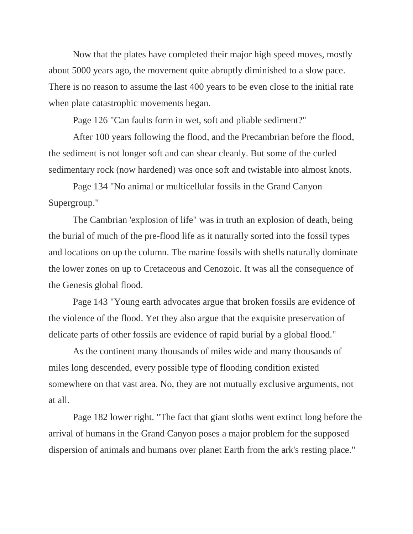Now that the plates have completed their major high speed moves, mostly about 5000 years ago, the movement quite abruptly diminished to a slow pace. There is no reason to assume the last 400 years to be even close to the initial rate when plate catastrophic movements began.

Page 126 "Can faults form in wet, soft and pliable sediment?"

After 100 years following the flood, and the Precambrian before the flood, the sediment is not longer soft and can shear cleanly. But some of the curled sedimentary rock (now hardened) was once soft and twistable into almost knots.

Page 134 "No animal or multicellular fossils in the Grand Canyon Supergroup."

The Cambrian 'explosion of life" was in truth an explosion of death, being the burial of much of the pre-flood life as it naturally sorted into the fossil types and locations on up the column. The marine fossils with shells naturally dominate the lower zones on up to Cretaceous and Cenozoic. It was all the consequence of the Genesis global flood.

Page 143 "Young earth advocates argue that broken fossils are evidence of the violence of the flood. Yet they also argue that the exquisite preservation of delicate parts of other fossils are evidence of rapid burial by a global flood."

As the continent many thousands of miles wide and many thousands of miles long descended, every possible type of flooding condition existed somewhere on that vast area. No, they are not mutually exclusive arguments, not at all.

Page 182 lower right. "The fact that giant sloths went extinct long before the arrival of humans in the Grand Canyon poses a major problem for the supposed dispersion of animals and humans over planet Earth from the ark's resting place."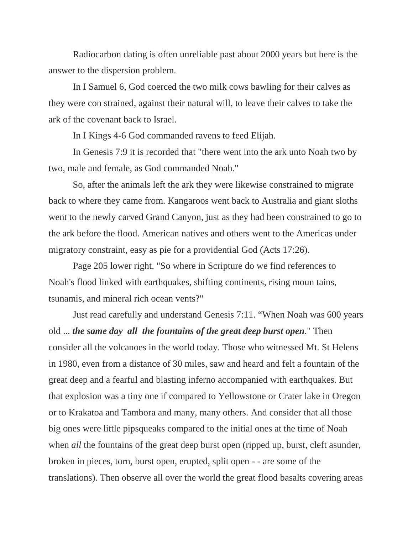Radiocarbon dating is often unreliable past about 2000 years but here is the answer to the dispersion problem.

In I Samuel 6, God coerced the two milk cows bawling for their calves as they were con strained, against their natural will, to leave their calves to take the ark of the covenant back to Israel.

In I Kings 4-6 God commanded ravens to feed Elijah.

In Genesis 7:9 it is recorded that "there went into the ark unto Noah two by two, male and female, as God commanded Noah."

So, after the animals left the ark they were likewise constrained to migrate back to where they came from. Kangaroos went back to Australia and giant sloths went to the newly carved Grand Canyon, just as they had been constrained to go to the ark before the flood. American natives and others went to the Americas under migratory constraint, easy as pie for a providential God (Acts 17:26).

Page 205 lower right. "So where in Scripture do we find references to Noah's flood linked with earthquakes, shifting continents, rising moun tains, tsunamis, and mineral rich ocean vents?"

Just read carefully and understand Genesis 7:11. "When Noah was 600 years old ... *the same day all the fountains of the great deep burst open*." Then consider all the volcanoes in the world today. Those who witnessed Mt. St Helens in 1980, even from a distance of 30 miles, saw and heard and felt a fountain of the great deep and a fearful and blasting inferno accompanied with earthquakes. But that explosion was a tiny one if compared to Yellowstone or Crater lake in Oregon or to Krakatoa and Tambora and many, many others. And consider that all those big ones were little pipsqueaks compared to the initial ones at the time of Noah when *all* the fountains of the great deep burst open (ripped up, burst, cleft asunder, broken in pieces, torn, burst open, erupted, split open - - are some of the translations). Then observe all over the world the great flood basalts covering areas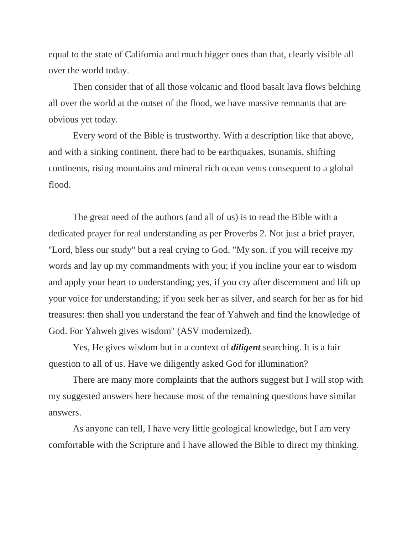equal to the state of California and much bigger ones than that, clearly visible all over the world today.

Then consider that of all those volcanic and flood basalt lava flows belching all over the world at the outset of the flood, we have massive remnants that are obvious yet today.

Every word of the Bible is trustworthy. With a description like that above, and with a sinking continent, there had to be earthquakes, tsunamis, shifting continents, rising mountains and mineral rich ocean vents consequent to a global flood.

The great need of the authors (and all of us) is to read the Bible with a dedicated prayer for real understanding as per Proverbs 2. Not just a brief prayer, ''Lord, bless our study" but a real crying to God. "My son. if you will receive my words and lay up my commandments with you; if you incline your ear to wisdom and apply your heart to understanding; yes, if you cry after discernment and lift up your voice for understanding; if you seek her as silver, and search for her as for hid treasures: then shall you understand the fear of Yahweh and find the knowledge of God. For Yahweh gives wisdom" (ASV modernized).

Yes, He gives wisdom but in a context of *diligent* searching. It is a fair question to all of us. Have we diligently asked God for illumination?

There are many more complaints that the authors suggest but I will stop with my suggested answers here because most of the remaining questions have similar answers.

As anyone can tell, I have very little geological knowledge, but I am very comfortable with the Scripture and I have allowed the Bible to direct my thinking.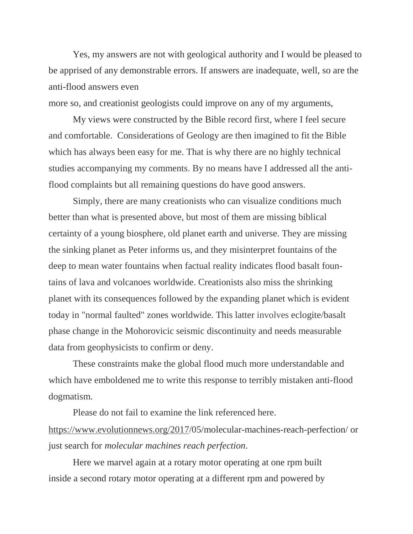Yes, my answers are not with geological authority and I would be pleased to be apprised of any demonstrable errors. If answers are inadequate, well, so are the anti-flood answers even

more so, and creationist geologists could improve on any of my arguments,

My views were constructed by the Bible record first, where I feel secure and comfortable. Considerations of Geology are then imagined to fit the Bible which has always been easy for me. That is why there are no highly technical studies accompanying my comments. By no means have I addressed all the antiflood complaints but all remaining questions do have good answers.

Simply, there are many creationists who can visualize conditions much better than what is presented above, but most of them are missing biblical certainty of a young biosphere, old planet earth and universe. They are missing the sinking planet as Peter informs us, and they misinterpret fountains of the deep to mean water fountains when factual reality indicates flood basalt fountains of lava and volcanoes worldwide. Creationists also miss the shrinking planet with its consequences followed by the expanding planet which is evident today in "normal faulted" zones worldwide. This latter involves eclogite/basalt phase change in the Mohorovicic seismic discontinuity and needs measurable data from geophysicists to confirm or deny.

These constraints make the global flood much more understandable and which have emboldened me to write this response to terribly mistaken anti-flood dogmatism.

Please do not fail to examine the link referenced here. [https://www.evolutionnews.org/2017/](http://www.evolutionnews.org/2017/05/)05/molecular-machines-reach-perfection/ or just search for *molecular machines reach perfection*.

Here we marvel again at a rotary motor operating at one rpm built inside a second rotary motor operating at a different rpm and powered by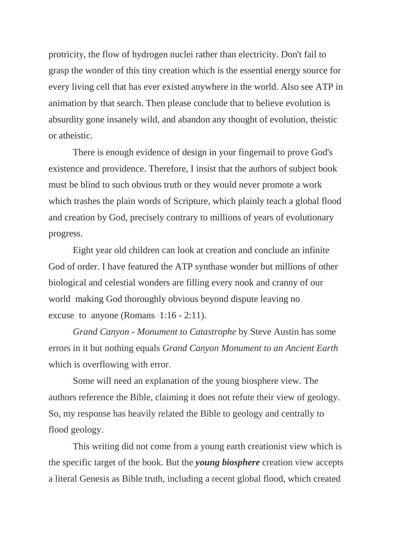protricity, the flow of hydrogen nuclei rather than electricity. Don't fail to grasp the wonder of this tiny creation which is the essential energy source for every living cell that has ever existed anywhere in the world. Also see ATP in animation by that search. Then please conclude that to believe evolution is absurdity gone insanely wild, and abandon any thought of evolution, theistic or atheistic.

There is enough evidence of design in your fingernail to prove God's existence and providence. Therefore, I insist that the authors of subject book must be blind to such obvious truth or they would never promote a work which trashes the plain words of Scripture, which plainly teach a global flood and creation by God, precisely contrary to millions of years of evolutionary progress.

Eight year old children can look at creation and conclude an infinite God of order. I have featured the ATP synthase wonder but millions of other biological and celestial wonders are filling every nook and cranny of our world making God thoroughly obvious beyond dispute leaving no excuse to anyone (Romans 1:16 - 2:11).

*Grand Canyon - Monument to Catastrophe* by Steve Austin has some errors in it but nothing equals *Grand Canyon Monument to an Ancient Earth* which is overflowing with error.

Some will need an explanation of the young biosphere view. The authors reference the Bible, claiming it does not refute their view of geology. So, my response has heavily related the Bible to geology and centrally to flood geology.

This writing did not come from a young earth creationist view which is the specific target of the book. But the *young biosphere* creation view accepts a literal Genesis as Bible truth, including a recent global flood, which created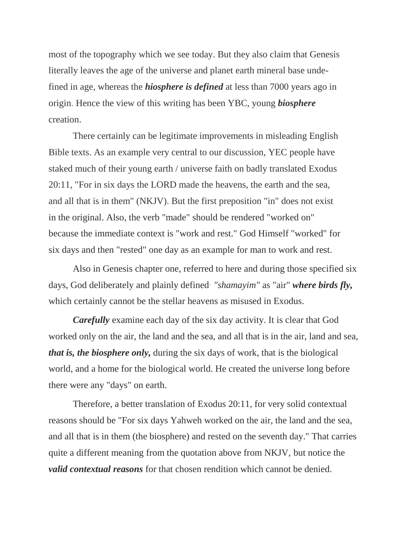most of the topography which we see today. But they also claim that Genesis literally leaves the age of the universe and planet earth mineral base undefined in age, whereas the *hiosphere is defined* at less than 7000 years ago in origin. Hence the view of this writing has been YBC, young *biosphere*  creation.

There certainly can be legitimate improvements in misleading English Bible texts. As an example very central to our discussion, YEC people have staked much of their young earth / universe faith on badly translated Exodus 20:11, "For in six days the LORD made the heavens, the earth and the sea, and all that is in them" (NKJV). But the first preposition "in" does not exist in the original. Also, the verb "made" should be rendered "worked on" because the immediate context is "work and rest." God Himself "worked" for six days and then "rested" one day as an example for man to work and rest.

Also in Genesis chapter one, referred to here and during those specified six days, God deliberately and plainly defined*· "shamayim"* as "air" *where birds fly,*  which certainly cannot be the stellar heavens as misused in Exodus.

*Carefully* examine each day of the six day activity. It is clear that God worked only on the air, the land and the sea, and all that is in the air, land and sea, *that is, the biosphere only,* during the six days of work, that is the biological world, and a home for the biological world. He created the universe long before there were any "days" on earth.

Therefore, a better translation of Exodus 20:11, for very solid contextual reasons should be "For six days Yahweh worked on the air, the land and the sea, and all that is in them (the biosphere) and rested on the seventh day." That carries quite a different meaning from the quotation above from NKJV*,* but notice the *valid contextual reasons* for that chosen rendition which cannot be denied.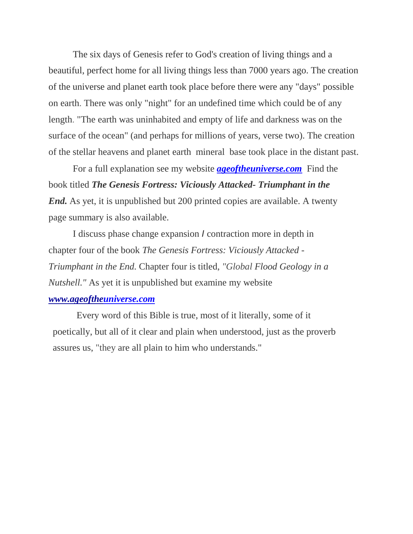The six days of Genesis refer to God's creation of living things and a beautiful, perfect home for all living things less than 7000 years ago. The creation of the universe and planet earth took place before there were any "days" possible on earth. There was only "night" for an undefined time which could be of any length. "The earth was uninhabited and empty of life and darkness was on the surface of the ocean" (and perhaps for millions of years, verse two). The creation of the stellar heavens and planet earth mineral base took place in the distant past.

For a full explanation see my website *[ageoftheuniverse.com](http://ageoftheuniverse.com/)* Find the book titled *The Genesis Fortress: Viciously Attacked- Triumphant in the End.* As yet, it is unpublished but 200 printed copies are available. A twenty page summary is also available.

I discuss phase change expansion *I* contraction more in depth in chapter four of the book *The Genesis Fortress: Viciously Attacked* - *Triumphant in the End.* Chapter four is titled, *"Global Flood Geology in a Nutshell."* As yet it is unpublished but examine my website

## *[www.ageoftheuniverse.com](http://www.ageojtl/)*

Every word of this Bible is true, most of it literally, some of it poetically, but all of it clear and plain when understood, just as the proverb assures us, "they are all plain to him who understands."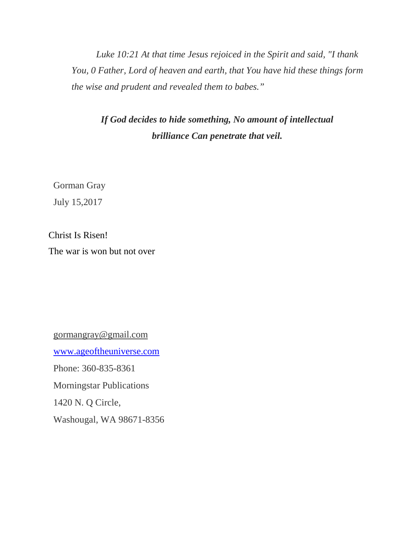*Luke 10:21 At that time Jesus rejoiced in the Spirit and said, "I thank You, 0 Father, Lord of heaven and earth, that You have hid these things form the wise and prudent and revealed them to babes."*

*If God decides to hide something, No amount of intellectual brilliance Can penetrate that veil.*

Gorman Gray

July 15,2017

Christ Is Risen! The war is won but not over

[gormangray@gmail.com](mailto:gormangray@gmail.com) [www.ageoftheuniverse.com](http://www.ageoftheuniverse.com/) Phone: 360-835-8361 Morningstar Publications 1420 N. Q Circle, Washougal, WA 98671-8356